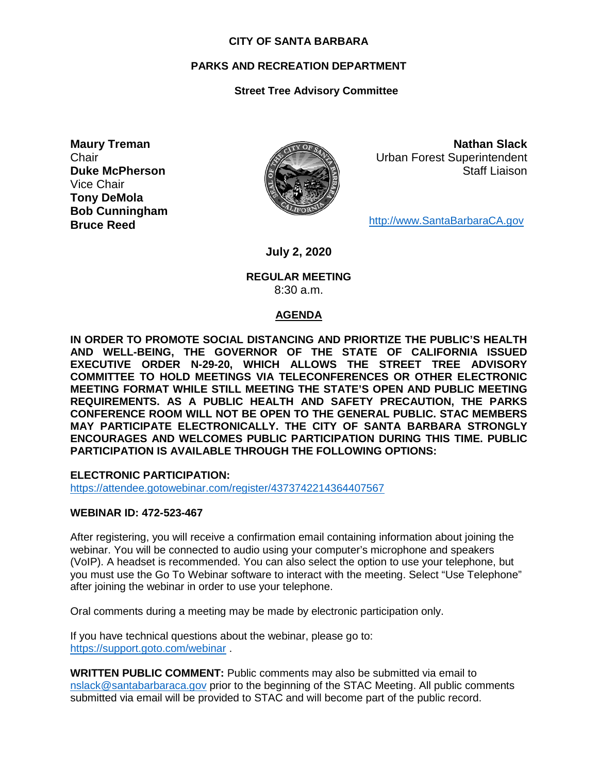#### **CITY OF SANTA BARBARA**

## **PARKS AND RECREATION DEPARTMENT**

# **Street Tree Advisory Committee**

**Maury Treman Chair Duke McPherson** Vice Chair **Tony DeMola Bob Cunningham Bruce Reed**



**Nathan Slack** Urban Forest Superintendent Staff Liaison

[http://www.SantaBarbaraCA.gov](http://www.santabarbaraca.gov/)

**July 2, 2020**

#### **REGULAR MEETING** 8:30 a.m.

## **AGENDA**

**IN ORDER TO PROMOTE SOCIAL DISTANCING AND PRIORTIZE THE PUBLIC'S HEALTH AND WELL-BEING, THE GOVERNOR OF THE STATE OF CALIFORNIA ISSUED EXECUTIVE ORDER N-29-20, WHICH ALLOWS THE STREET TREE ADVISORY COMMITTEE TO HOLD MEETINGS VIA TELECONFERENCES OR OTHER ELECTRONIC MEETING FORMAT WHILE STILL MEETING THE STATE'S OPEN AND PUBLIC MEETING REQUIREMENTS. AS A PUBLIC HEALTH AND SAFETY PRECAUTION, THE PARKS CONFERENCE ROOM WILL NOT BE OPEN TO THE GENERAL PUBLIC. STAC MEMBERS MAY PARTICIPATE ELECTRONICALLY. THE CITY OF SANTA BARBARA STRONGLY ENCOURAGES AND WELCOMES PUBLIC PARTICIPATION DURING THIS TIME. PUBLIC PARTICIPATION IS AVAILABLE THROUGH THE FOLLOWING OPTIONS:**

**ELECTRONIC PARTICIPATION:** 

<https://attendee.gotowebinar.com/register/4373742214364407567>

#### **WEBINAR ID: 472-523-467**

After registering, you will receive a confirmation email containing information about joining the webinar. You will be connected to audio using your computer's microphone and speakers (VoIP). A headset is recommended. You can also select the option to use your telephone, but you must use the Go To Webinar software to interact with the meeting. Select "Use Telephone" after joining the webinar in order to use your telephone.

Oral comments during a meeting may be made by electronic participation only.

If you have technical questions about the webinar, please go to: <https://support.goto.com/webinar> .

**WRITTEN PUBLIC COMMENT:** Public comments may also be submitted via email to [nslack@santabarbaraca.gov](mailto:nslack@santabarbaraca.gov) prior to the beginning of the STAC Meeting. All public comments submitted via email will be provided to STAC and will become part of the public record.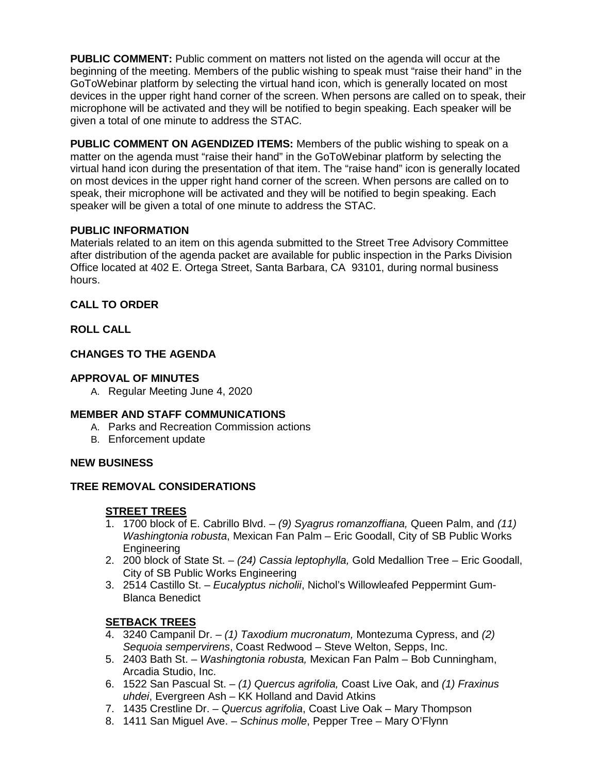**PUBLIC COMMENT:** Public comment on matters not listed on the agenda will occur at the beginning of the meeting. Members of the public wishing to speak must "raise their hand" in the GoToWebinar platform by selecting the virtual hand icon, which is generally located on most devices in the upper right hand corner of the screen. When persons are called on to speak, their microphone will be activated and they will be notified to begin speaking. Each speaker will be given a total of one minute to address the STAC.

**PUBLIC COMMENT ON AGENDIZED ITEMS:** Members of the public wishing to speak on a matter on the agenda must "raise their hand" in the GoToWebinar platform by selecting the virtual hand icon during the presentation of that item. The "raise hand" icon is generally located on most devices in the upper right hand corner of the screen. When persons are called on to speak, their microphone will be activated and they will be notified to begin speaking. Each speaker will be given a total of one minute to address the STAC.

## **PUBLIC INFORMATION**

Materials related to an item on this agenda submitted to the Street Tree Advisory Committee after distribution of the agenda packet are available for public inspection in the Parks Division Office located at 402 E. Ortega Street, Santa Barbara, CA 93101, during normal business hours.

## **CALL TO ORDER**

## **ROLL CALL**

## **CHANGES TO THE AGENDA**

## **APPROVAL OF MINUTES**

A. Regular Meeting June 4, 2020

## **MEMBER AND STAFF COMMUNICATIONS**

- A. Parks and Recreation Commission actions
- B. Enforcement update

## **NEW BUSINESS**

# **TREE REMOVAL CONSIDERATIONS**

# **STREET TREES**

- 1. 1700 block of E. Cabrillo Blvd. *(9) Syagrus romanzoffiana,* Queen Palm, and *(11) Washingtonia robusta*, Mexican Fan Palm – Eric Goodall, City of SB Public Works Engineering
- 2. 200 block of State St. *(24) Cassia leptophylla,* Gold Medallion Tree *–* Eric Goodall, City of SB Public Works Engineering
- 3. 2514 Castillo St. *Eucalyptus nicholii*, Nichol's Willowleafed Peppermint Gum-Blanca Benedict

# **SETBACK TREES**

- 4. 3240 Campanil Dr. *(1) Taxodium mucronatum,* Montezuma Cypress, and *(2) Sequoia sempervirens*, Coast Redwood – Steve Welton, Sepps, Inc.
- 5. 2403 Bath St. *Washingtonia robusta,* Mexican Fan Palm Bob Cunningham, Arcadia Studio, Inc.
- 6. 1522 San Pascual St. *(1) Quercus agrifolia,* Coast Live Oak, and *(1) Fraxinus uhdei*, Evergreen Ash – KK Holland and David Atkins
- 7. 1435 Crestline Dr. *Quercus agrifolia*, Coast Live Oak Mary Thompson
- 8. 1411 San Miguel Ave. *Schinus molle*, Pepper Tree Mary O'Flynn